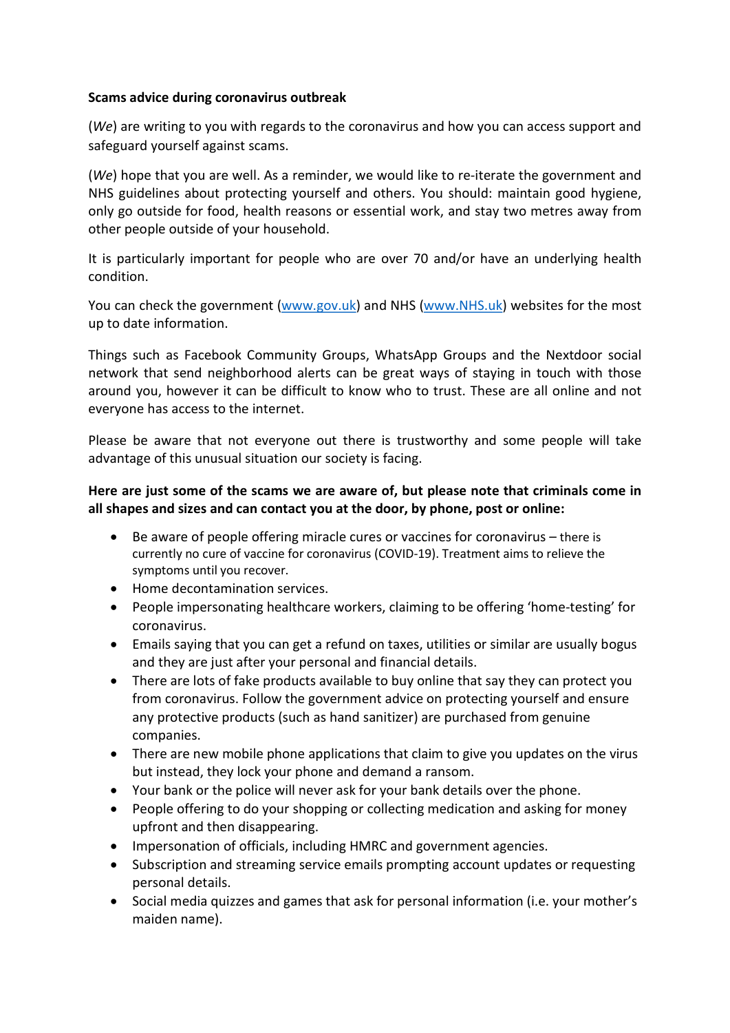## Scams advice during coronavirus outbreak

(We) are writing to you with regards to the coronavirus and how you can access support and safeguard yourself against scams.

(We) hope that you are well. As a reminder, we would like to re-iterate the government and NHS guidelines about protecting yourself and others. You should: maintain good hygiene, only go outside for food, health reasons or essential work, and stay two metres away from other people outside of your household.

It is particularly important for people who are over 70 and/or have an underlying health condition.

You can check the government (www.gov.uk) and NHS (www.NHS.uk) websites for the most up to date information.

Things such as Facebook Community Groups, WhatsApp Groups and the Nextdoor social network that send neighborhood alerts can be great ways of staying in touch with those around you, however it can be difficult to know who to trust. These are all online and not everyone has access to the internet.

Please be aware that not everyone out there is trustworthy and some people will take advantage of this unusual situation our society is facing.

## Here are just some of the scams we are aware of, but please note that criminals come in all shapes and sizes and can contact you at the door, by phone, post or online:

- Be aware of people offering miracle cures or vaccines for coronavirus there is currently no cure of vaccine for coronavirus (COVID-19). Treatment aims to relieve the symptoms until you recover.
- Home decontamination services.
- People impersonating healthcare workers, claiming to be offering 'home-testing' for coronavirus.
- Emails saying that you can get a refund on taxes, utilities or similar are usually bogus and they are just after your personal and financial details.
- There are lots of fake products available to buy online that say they can protect you from coronavirus. Follow the government advice on protecting yourself and ensure any protective products (such as hand sanitizer) are purchased from genuine companies.
- There are new mobile phone applications that claim to give you updates on the virus but instead, they lock your phone and demand a ransom.
- Your bank or the police will never ask for your bank details over the phone.
- People offering to do your shopping or collecting medication and asking for money upfront and then disappearing.
- Impersonation of officials, including HMRC and government agencies.
- Subscription and streaming service emails prompting account updates or requesting personal details.
- Social media quizzes and games that ask for personal information (i.e. your mother's maiden name).